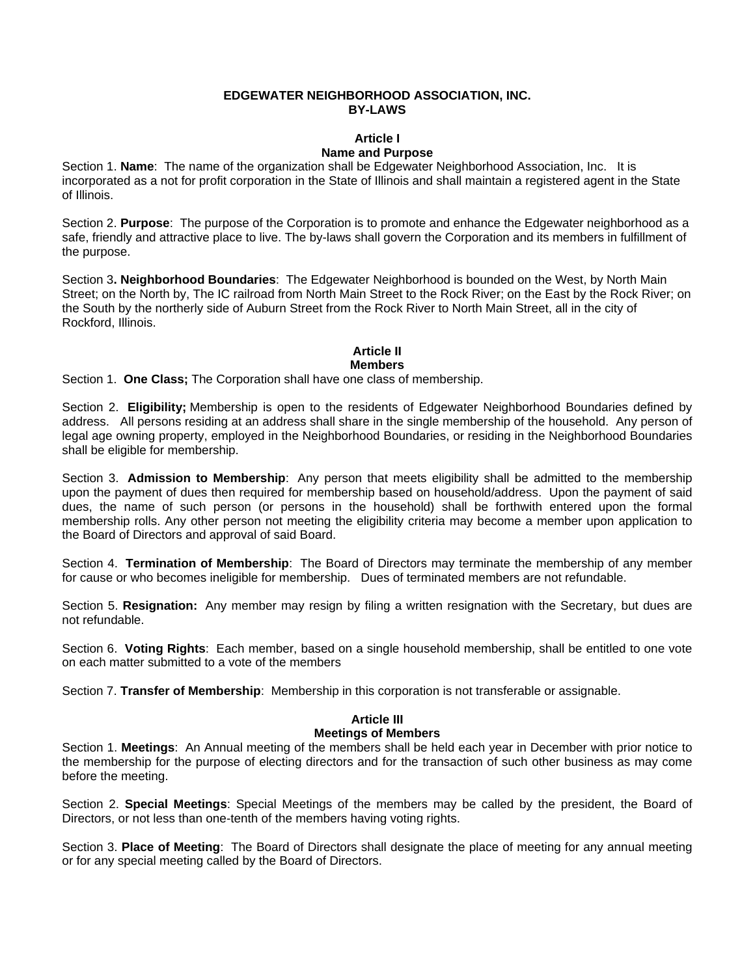#### **EDGEWATER NEIGHBORHOOD ASSOCIATION, INC. BY-LAWS**

# **Article I**

## **Name and Purpose**

Section 1. **Name**: The name of the organization shall be Edgewater Neighborhood Association, Inc. It is incorporated as a not for profit corporation in the State of Illinois and shall maintain a registered agent in the State of Illinois.

Section 2. **Purpose**: The purpose of the Corporation is to promote and enhance the Edgewater neighborhood as a safe, friendly and attractive place to live. The by-laws shall govern the Corporation and its members in fulfillment of the purpose.

Section 3**. Neighborhood Boundaries**: The Edgewater Neighborhood is bounded on the West, by North Main Street; on the North by, The IC railroad from North Main Street to the Rock River; on the East by the Rock River; on the South by the northerly side of Auburn Street from the Rock River to North Main Street, all in the city of Rockford, Illinois.

# **Article II**

#### **Members**

Section 1. **One Class;** The Corporation shall have one class of membership.

Section 2. **Eligibility;** Membership is open to the residents of Edgewater Neighborhood Boundaries defined by address. All persons residing at an address shall share in the single membership of the household. Any person of legal age owning property, employed in the Neighborhood Boundaries, or residing in the Neighborhood Boundaries shall be eligible for membership.

Section 3. **Admission to Membership**: Any person that meets eligibility shall be admitted to the membership upon the payment of dues then required for membership based on household/address. Upon the payment of said dues, the name of such person (or persons in the household) shall be forthwith entered upon the formal membership rolls. Any other person not meeting the eligibility criteria may become a member upon application to the Board of Directors and approval of said Board.

Section 4. **Termination of Membership**: The Board of Directors may terminate the membership of any member for cause or who becomes ineligible for membership. Dues of terminated members are not refundable.

Section 5. **Resignation:** Any member may resign by filing a written resignation with the Secretary, but dues are not refundable.

Section 6. **Voting Rights**: Each member, based on a single household membership, shall be entitled to one vote on each matter submitted to a vote of the members

Section 7. **Transfer of Membership**: Membership in this corporation is not transferable or assignable.

# **Article III**

### **Meetings of Members**

Section 1. **Meetings**: An Annual meeting of the members shall be held each year in December with prior notice to the membership for the purpose of electing directors and for the transaction of such other business as may come before the meeting.

Section 2. **Special Meetings**: Special Meetings of the members may be called by the president, the Board of Directors, or not less than one-tenth of the members having voting rights.

Section 3. **Place of Meeting**: The Board of Directors shall designate the place of meeting for any annual meeting or for any special meeting called by the Board of Directors.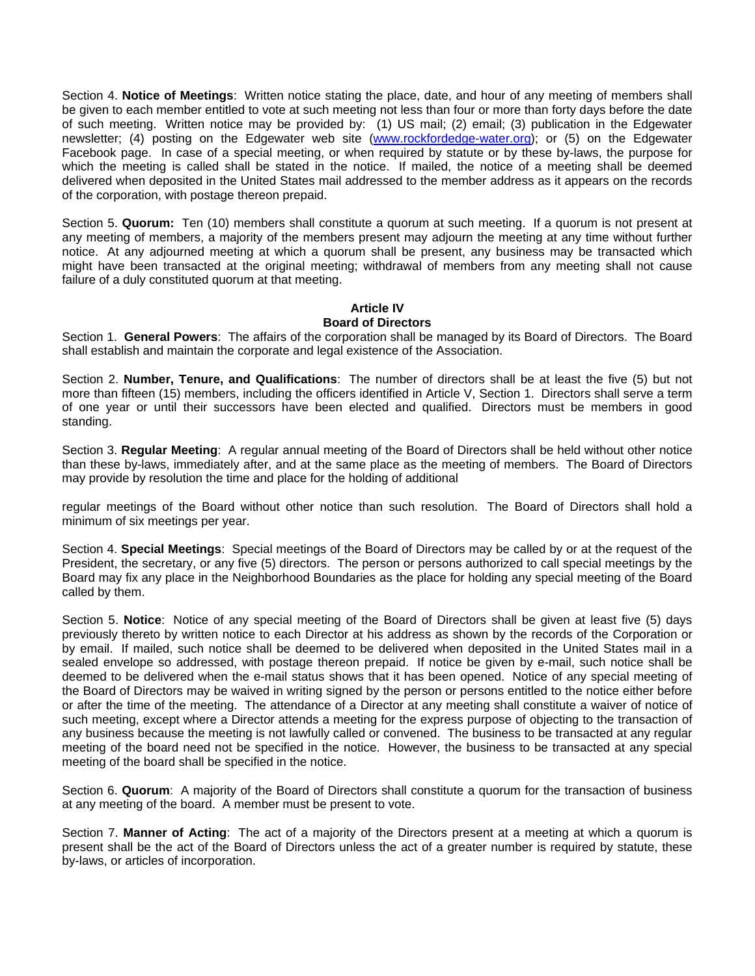Section 4. **Notice of Meetings**: Written notice stating the place, date, and hour of any meeting of members shall be given to each member entitled to vote at such meeting not less than four or more than forty days before the date of such meeting. Written notice may be provided by: (1) US mail; (2) email; (3) publication in the Edgewater newsletter; (4) posting on the Edgewater web site (www.rockfordedge-water.org); or (5) on the Edgewater Facebook page. In case of a special meeting, or when required by statute or by these by-laws, the purpose for which the meeting is called shall be stated in the notice. If mailed, the notice of a meeting shall be deemed delivered when deposited in the United States mail addressed to the member address as it appears on the records of the corporation, with postage thereon prepaid.

Section 5. **Quorum:** Ten (10) members shall constitute a quorum at such meeting. If a quorum is not present at any meeting of members, a majority of the members present may adjourn the meeting at any time without further notice. At any adjourned meeting at which a quorum shall be present, any business may be transacted which might have been transacted at the original meeting; withdrawal of members from any meeting shall not cause failure of a duly constituted quorum at that meeting.

## **Article IV Board of Directors**

Section 1. **General Powers**: The affairs of the corporation shall be managed by its Board of Directors. The Board shall establish and maintain the corporate and legal existence of the Association.

Section 2. **Number, Tenure, and Qualifications**: The number of directors shall be at least the five (5) but not more than fifteen (15) members, including the officers identified in Article V, Section 1. Directors shall serve a term of one year or until their successors have been elected and qualified. Directors must be members in good standing.

Section 3. **Regular Meeting**: A regular annual meeting of the Board of Directors shall be held without other notice than these by-laws, immediately after, and at the same place as the meeting of members. The Board of Directors may provide by resolution the time and place for the holding of additional

regular meetings of the Board without other notice than such resolution. The Board of Directors shall hold a minimum of six meetings per year.

Section 4. **Special Meetings**: Special meetings of the Board of Directors may be called by or at the request of the President, the secretary, or any five (5) directors. The person or persons authorized to call special meetings by the Board may fix any place in the Neighborhood Boundaries as the place for holding any special meeting of the Board called by them.

Section 5. **Notice**: Notice of any special meeting of the Board of Directors shall be given at least five (5) days previously thereto by written notice to each Director at his address as shown by the records of the Corporation or by email. If mailed, such notice shall be deemed to be delivered when deposited in the United States mail in a sealed envelope so addressed, with postage thereon prepaid. If notice be given by e-mail, such notice shall be deemed to be delivered when the e-mail status shows that it has been opened. Notice of any special meeting of the Board of Directors may be waived in writing signed by the person or persons entitled to the notice either before or after the time of the meeting. The attendance of a Director at any meeting shall constitute a waiver of notice of such meeting, except where a Director attends a meeting for the express purpose of objecting to the transaction of any business because the meeting is not lawfully called or convened. The business to be transacted at any regular meeting of the board need not be specified in the notice. However, the business to be transacted at any special meeting of the board shall be specified in the notice.

Section 6. **Quorum**: A majority of the Board of Directors shall constitute a quorum for the transaction of business at any meeting of the board. A member must be present to vote.

Section 7. **Manner of Acting**: The act of a majority of the Directors present at a meeting at which a quorum is present shall be the act of the Board of Directors unless the act of a greater number is required by statute, these by-laws, or articles of incorporation.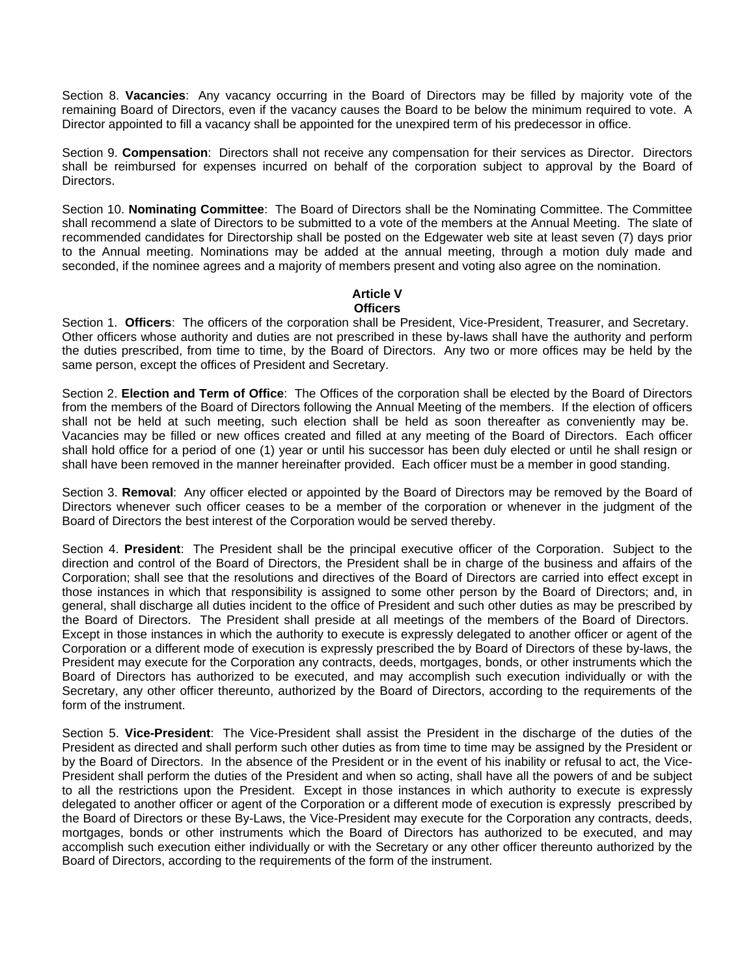Section 8. **Vacancies**: Any vacancy occurring in the Board of Directors may be filled by majority vote of the remaining Board of Directors, even if the vacancy causes the Board to be below the minimum required to vote. A Director appointed to fill a vacancy shall be appointed for the unexpired term of his predecessor in office.

Section 9. **Compensation**: Directors shall not receive any compensation for their services as Director. Directors shall be reimbursed for expenses incurred on behalf of the corporation subject to approval by the Board of Directors.

Section 10. **Nominating Committee**: The Board of Directors shall be the Nominating Committee. The Committee shall recommend a slate of Directors to be submitted to a vote of the members at the Annual Meeting. The slate of recommended candidates for Directorship shall be posted on the Edgewater web site at least seven (7) days prior to the Annual meeting. Nominations may be added at the annual meeting, through a motion duly made and seconded, if the nominee agrees and a majority of members present and voting also agree on the nomination.

#### **Article V Officers**

Section 1. **Officers**: The officers of the corporation shall be President, Vice-President, Treasurer, and Secretary. Other officers whose authority and duties are not prescribed in these by-laws shall have the authority and perform the duties prescribed, from time to time, by the Board of Directors. Any two or more offices may be held by the same person, except the offices of President and Secretary.

Section 2. **Election and Term of Office**: The Offices of the corporation shall be elected by the Board of Directors from the members of the Board of Directors following the Annual Meeting of the members. If the election of officers shall not be held at such meeting, such election shall be held as soon thereafter as conveniently may be. Vacancies may be filled or new offices created and filled at any meeting of the Board of Directors. Each officer shall hold office for a period of one (1) year or until his successor has been duly elected or until he shall resign or shall have been removed in the manner hereinafter provided. Each officer must be a member in good standing.

Section 3. **Removal**: Any officer elected or appointed by the Board of Directors may be removed by the Board of Directors whenever such officer ceases to be a member of the corporation or whenever in the judgment of the Board of Directors the best interest of the Corporation would be served thereby.

Section 4. **President**: The President shall be the principal executive officer of the Corporation. Subject to the direction and control of the Board of Directors, the President shall be in charge of the business and affairs of the Corporation; shall see that the resolutions and directives of the Board of Directors are carried into effect except in those instances in which that responsibility is assigned to some other person by the Board of Directors; and, in general, shall discharge all duties incident to the office of President and such other duties as may be prescribed by the Board of Directors. The President shall preside at all meetings of the members of the Board of Directors. Except in those instances in which the authority to execute is expressly delegated to another officer or agent of the Corporation or a different mode of execution is expressly prescribed the by Board of Directors of these by-laws, the President may execute for the Corporation any contracts, deeds, mortgages, bonds, or other instruments which the Board of Directors has authorized to be executed, and may accomplish such execution individually or with the Secretary, any other officer thereunto, authorized by the Board of Directors, according to the requirements of the form of the instrument.

Section 5. **Vice-President**: The Vice-President shall assist the President in the discharge of the duties of the President as directed and shall perform such other duties as from time to time may be assigned by the President or by the Board of Directors. In the absence of the President or in the event of his inability or refusal to act, the Vice-President shall perform the duties of the President and when so acting, shall have all the powers of and be subject to all the restrictions upon the President. Except in those instances in which authority to execute is expressly delegated to another officer or agent of the Corporation or a different mode of execution is expressly prescribed by the Board of Directors or these By-Laws, the Vice-President may execute for the Corporation any contracts, deeds, mortgages, bonds or other instruments which the Board of Directors has authorized to be executed, and may accomplish such execution either individually or with the Secretary or any other officer thereunto authorized by the Board of Directors, according to the requirements of the form of the instrument.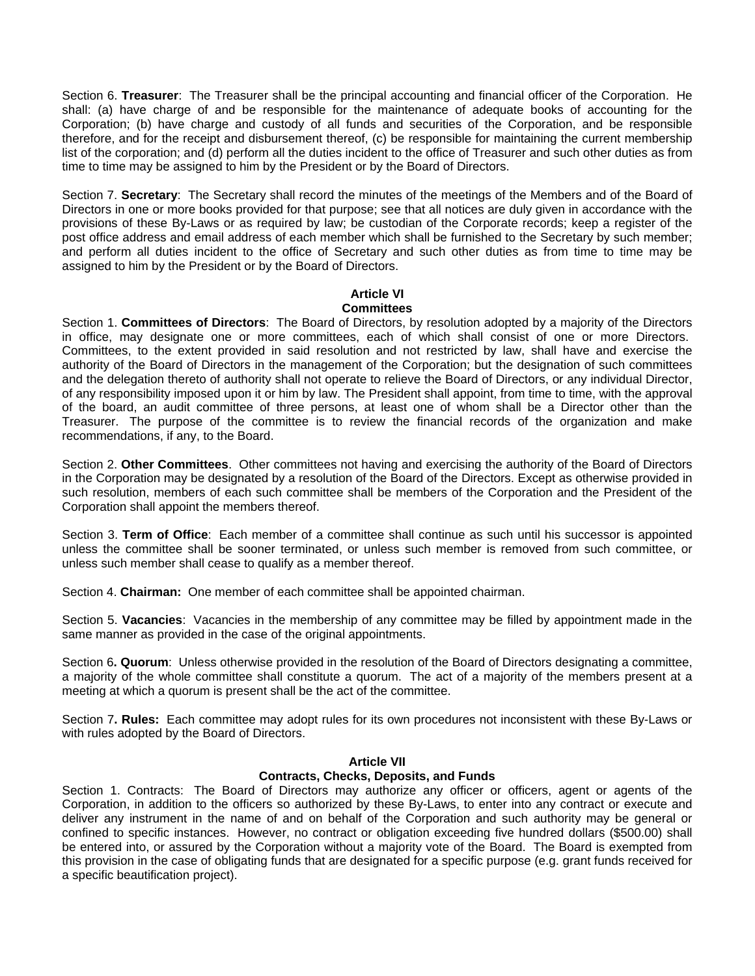Section 6. **Treasurer**: The Treasurer shall be the principal accounting and financial officer of the Corporation. He shall: (a) have charge of and be responsible for the maintenance of adequate books of accounting for the Corporation; (b) have charge and custody of all funds and securities of the Corporation, and be responsible therefore, and for the receipt and disbursement thereof, (c) be responsible for maintaining the current membership list of the corporation; and (d) perform all the duties incident to the office of Treasurer and such other duties as from time to time may be assigned to him by the President or by the Board of Directors.

Section 7. **Secretary**: The Secretary shall record the minutes of the meetings of the Members and of the Board of Directors in one or more books provided for that purpose; see that all notices are duly given in accordance with the provisions of these By-Laws or as required by law; be custodian of the Corporate records; keep a register of the post office address and email address of each member which shall be furnished to the Secretary by such member; and perform all duties incident to the office of Secretary and such other duties as from time to time may be assigned to him by the President or by the Board of Directors.

#### **Article VI Committees**

Section 1. **Committees of Directors**: The Board of Directors, by resolution adopted by a majority of the Directors in office, may designate one or more committees, each of which shall consist of one or more Directors. Committees, to the extent provided in said resolution and not restricted by law, shall have and exercise the authority of the Board of Directors in the management of the Corporation; but the designation of such committees and the delegation thereto of authority shall not operate to relieve the Board of Directors, or any individual Director, of any responsibility imposed upon it or him by law. The President shall appoint, from time to time, with the approval of the board, an audit committee of three persons, at least one of whom shall be a Director other than the Treasurer. The purpose of the committee is to review the financial records of the organization and make recommendations, if any, to the Board.

Section 2. **Other Committees**. Other committees not having and exercising the authority of the Board of Directors in the Corporation may be designated by a resolution of the Board of the Directors. Except as otherwise provided in such resolution, members of each such committee shall be members of the Corporation and the President of the Corporation shall appoint the members thereof.

Section 3. **Term of Office**: Each member of a committee shall continue as such until his successor is appointed unless the committee shall be sooner terminated, or unless such member is removed from such committee, or unless such member shall cease to qualify as a member thereof.

Section 4. **Chairman:** One member of each committee shall be appointed chairman.

Section 5. **Vacancies**: Vacancies in the membership of any committee may be filled by appointment made in the same manner as provided in the case of the original appointments.

Section 6**. Quorum**: Unless otherwise provided in the resolution of the Board of Directors designating a committee, a majority of the whole committee shall constitute a quorum. The act of a majority of the members present at a meeting at which a quorum is present shall be the act of the committee.

Section 7**. Rules:** Each committee may adopt rules for its own procedures not inconsistent with these By-Laws or with rules adopted by the Board of Directors.

#### **Article VII**

#### **Contracts, Checks, Deposits, and Funds**

Section 1. Contracts: The Board of Directors may authorize any officer or officers, agent or agents of the Corporation, in addition to the officers so authorized by these By-Laws, to enter into any contract or execute and deliver any instrument in the name of and on behalf of the Corporation and such authority may be general or confined to specific instances. However, no contract or obligation exceeding five hundred dollars (\$500.00) shall be entered into, or assured by the Corporation without a majority vote of the Board. The Board is exempted from this provision in the case of obligating funds that are designated for a specific purpose (e.g. grant funds received for a specific beautification project).